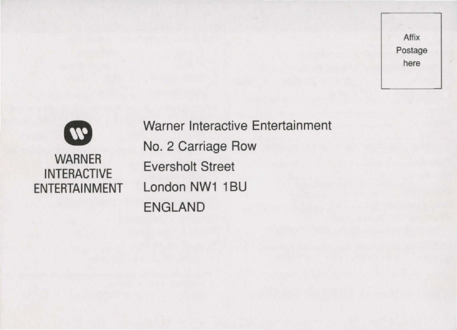

WARNER INTERACTIVE ENTERTAINMENT Warner Interactive Entertainment No. 2 Carriage Row Eversholt Street London NW1 1BU ENGLAND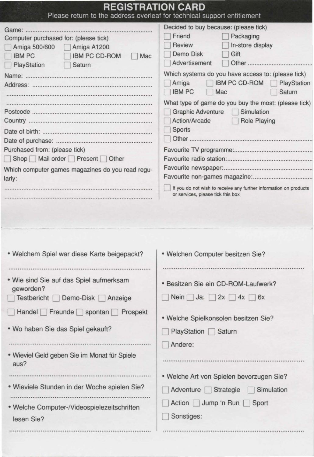| <b>REGISTRATION CARD</b><br>Please return to the address overleaf for technical support entitlement                                                                                                                                                                  |                                                                                                                                                                                                                                                                                                                                                                                                                                       |
|----------------------------------------------------------------------------------------------------------------------------------------------------------------------------------------------------------------------------------------------------------------------|---------------------------------------------------------------------------------------------------------------------------------------------------------------------------------------------------------------------------------------------------------------------------------------------------------------------------------------------------------------------------------------------------------------------------------------|
| Computer purchased for: (please tick)<br>Amiga 500/600<br>Amiga A1200<br><b>IBM PC</b><br><b>IBM PC CD-ROM</b><br>Mac<br>PlayStation<br>Saturn<br>Purchased from: (please tick)<br>Shop Mail order Present Other<br>Which computer games magazines do you read regu- | Decided to buy because: (please tick)<br>Friend<br>Packaging<br>Review<br>In-store display<br>Demo Disk<br>Gift<br>Advertisement<br>Other<br>Which systems do you have access to: (please tick)<br><b>IBM PC CD-ROM</b><br>Amiga<br>PlayStation<br><b>IBM PC</b><br>Saturn<br>Mac<br>What type of game do you buy the most: (please tick)<br><b>Graphic Adventure</b><br>Simulation<br>Action/Arcade<br><b>Role Playing</b><br>Sports |
| larly:<br>· Welchem Spiel war diese Karte beigepackt?                                                                                                                                                                                                                | If you do not wish to receive any further information on products<br>or services, please tick this box<br>· Welchen Computer besitzen Sie?                                                                                                                                                                                                                                                                                            |
| . Wie sind Sie auf das Spiel aufmerksam<br>geworden?<br>Testbericht<br>Demo-Disk<br>Anzeige                                                                                                                                                                          | · Besitzen Sie ein CD-ROM-Laufwerk?<br>Ja:<br><b>Nein</b><br>2x<br>4x<br>6x                                                                                                                                                                                                                                                                                                                                                           |
| Freunde<br>Handel<br>spontan<br>Prospekt                                                                                                                                                                                                                             | · Welche Spielkonsolen besitzen Sie?                                                                                                                                                                                                                                                                                                                                                                                                  |
| . Wo haben Sie das Spiel gekauft?                                                                                                                                                                                                                                    | PlayStation Saturn<br>Andere:                                                                                                                                                                                                                                                                                                                                                                                                         |
| • Wieviel Geld geben Sie im Monat für Spiele<br>aus?                                                                                                                                                                                                                 |                                                                                                                                                                                                                                                                                                                                                                                                                                       |
| · Wieviele Stunden in der Woche spielen Sie?                                                                                                                                                                                                                         | • Welche Art von Spielen bevorzugen Sie?<br>Adventure  <br>Strategie<br>Simulation                                                                                                                                                                                                                                                                                                                                                    |
| · Welche Computer-/Videospielezeitschriften<br>lesen Sie?                                                                                                                                                                                                            | Action Jump 'n Run<br>Sport<br>Sonstiges:                                                                                                                                                                                                                                                                                                                                                                                             |
|                                                                                                                                                                                                                                                                      |                                                                                                                                                                                                                                                                                                                                                                                                                                       |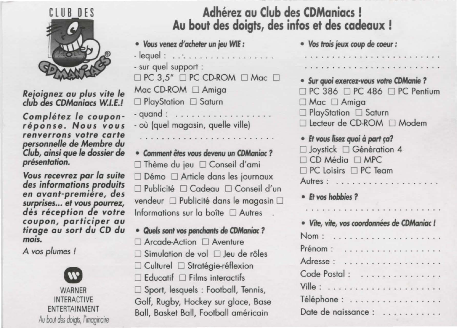

*Reioignez au plus vite le club des CDManiacs W.l.E.!* 

*Completez le couponreponse. Nous vous renverrons votre carte personnelle de Membre du Club, ainsi que le dossier de presenlation.* 

*Vous recevrez par la suite des informations produits en avant-premiere, des surprises ... et vous pourrez, des reception de votre coupon, participer au tirage au sort du CD du mois.* 

*A vos plumes* I



**Adherez au Club des CDManiacs** ! **Au bout des doigts, des infos et des cadeaux** !

- *Vous venez* **d'** *acheler* **un jeu WIE** :
- lequel : .. " . . ......... . . .. . - sur quel support :
- $\Box$  PC 3,5"  $\Box$  PC CD-ROM  $\Box$  Mac  $\Box$  $Mac$  CD-ROM  $\Box$  Amiga
- □ PlayStation □ Saturn
- quand : . . . . . . . . . . . . où (quel magasin, quelle ville)
- **Comment** *etes* **vous devenu un CDManioc** ? □ Thème du jeu □ Conseil d'ami □ Démo □ Article dans les journaux D Publicite D Cadeau D Conseil d'un vendeur  $\Box$  Publicité dans le magasin  $\Box$ Informations sur la boîte  $\Box$  Autres
- **Ouels** *sont* **vos penchants** *de* **CDManioc** ?
- □ Arcade-Action □ Aventure
- $\Box$  Simulation de vol  $\Box$  leu de rôles
- $\Box$  Culturel  $\Box$  Stratégie-réflexion
- $\Box$  Educatif  $\Box$  Films interactifs
- □ Sport, lesquels : Football, Tennis, Golf, Rugby, Hockey sur glace, Base
- Ball, Basket Ball, Football américain

• *Vos* **lrois jeux** *coup de coeur :*  . . . . . . . . . . . . . . . . . . . • **Sur quoi exercez-vous volre CDManie** ?  $\Box$  PC 386  $\Box$  PC 486  $\Box$  PC Pentium □ Mac □ Amiga □ PlayStation □ Saturn □ Lecteur de CD-ROM □ Modem • **Et vous lisez quoi ci** *part* **fa?**   $\Box$  Joystick  $\Box$  Génération 4  $\Box$  CD Média  $\Box$  MPC  $\Box$  PC Loisirs  $\Box$  PC Team Autres : .................. . • **Et VOS hobbies 7**  • **V"rte, vile, vos** *coordonnees de* **CDManioc** I Norn : ..... ... . . . .. . .. ... . Prénom : . . . . . . . . . . . . . . . . . . Adresse : . . . . . . . . . . . . . . . . . . Code Postal : . . . . . . . . . . . . . . . Ville : .................... . Téléphone : . . . . . . . . . . . . . . . . Date de naissance : . . . . . . . . . . .